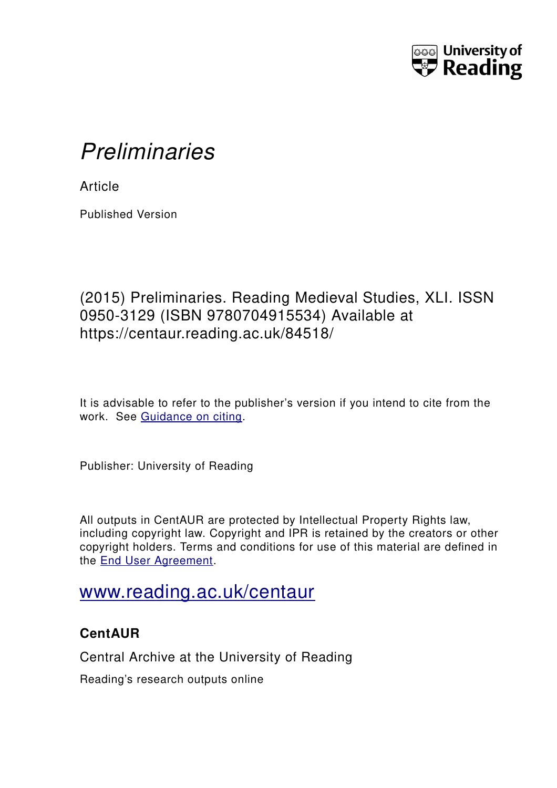

## *Preliminaries*

**Article** 

Published Version

## (2015) Preliminaries. Reading Medieval Studies, XLI. ISSN 0950-3129 (ISBN 9780704915534) Available at https://centaur.reading.ac.uk/84518/

It is advisable to refer to the publisher's version if you intend to cite from the work. See [Guidance on citing.](http://centaur.reading.ac.uk/71187/10/CentAUR%20citing%20guide.pdf)

Publisher: University of Reading

All outputs in CentAUR are protected by Intellectual Property Rights law, including copyright law. Copyright and IPR is retained by the creators or other copyright holders. Terms and conditions for use of this material are defined in the [End User Agreement.](http://centaur.reading.ac.uk/licence)

## [www.reading.ac.uk/centaur](http://www.reading.ac.uk/centaur)

## **CentAUR**

Central Archive at the University of Reading

Reading's research outputs online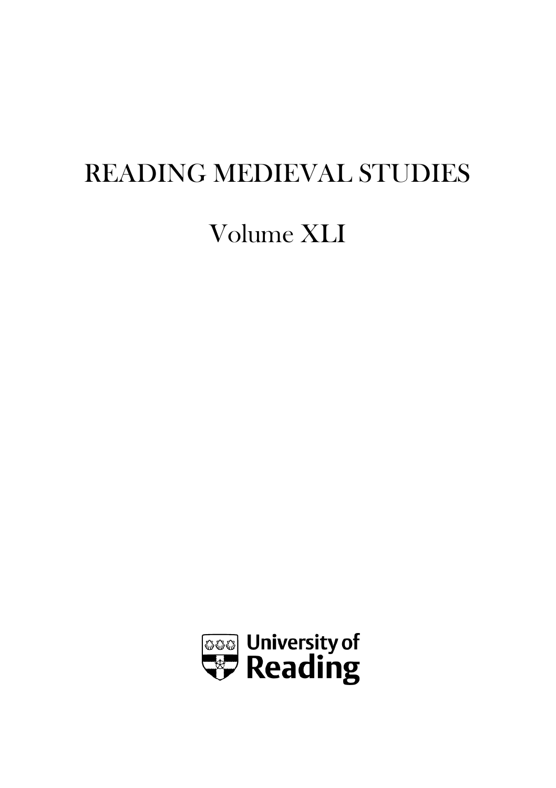# READING MEDIEVAL STUDIES

## Volume XLI

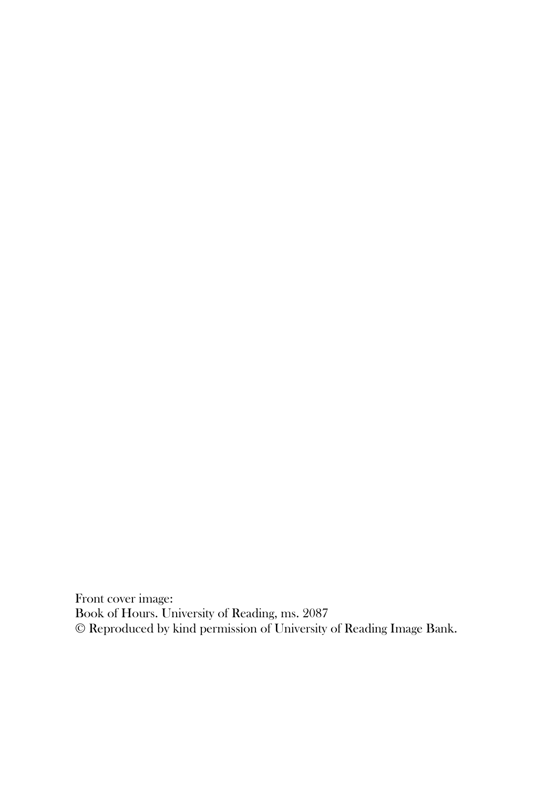Front cover image: Book of Hours. University of Reading, ms. 2087 © Reproduced by kind permission of University of Reading Image Bank.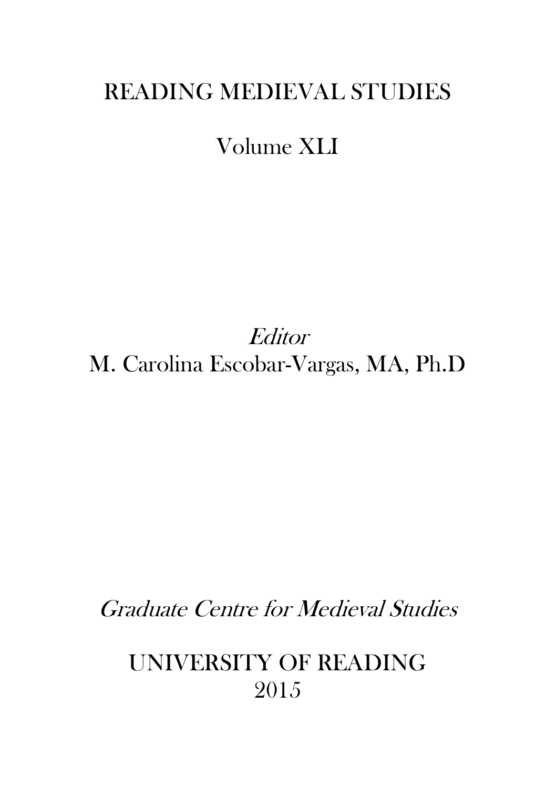## READING MEDIEVAL STUDIES

## Volume XLI

**Editor** M. Carolina Escobar-Vargas, MA, Ph.D

Graduate Centre for Medieval Studies

UNIVERSITY OF READING 2015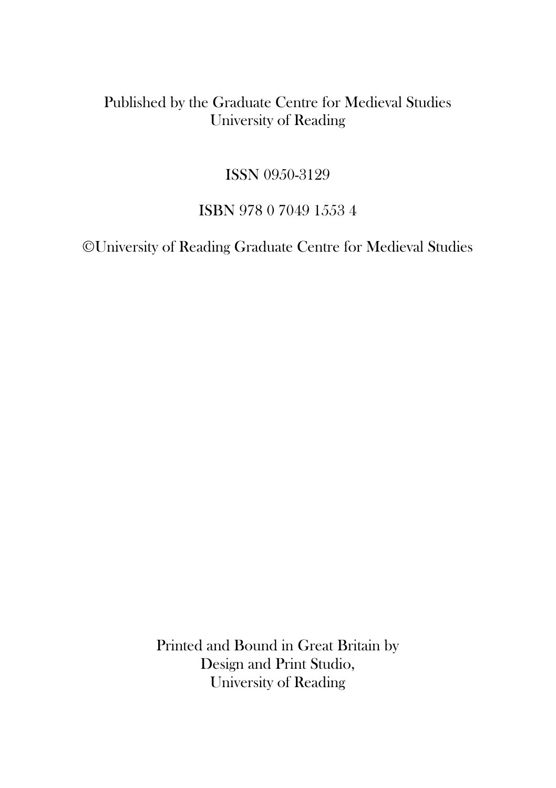#### Published by the Graduate Centre for Medieval Studies University of Reading

#### ISSN 0950-3129

#### ISBN 978 0 7049 1553 4

©University of Reading Graduate Centre for Medieval Studies

Printed and Bound in Great Britain by Design and Print Studio, University of Reading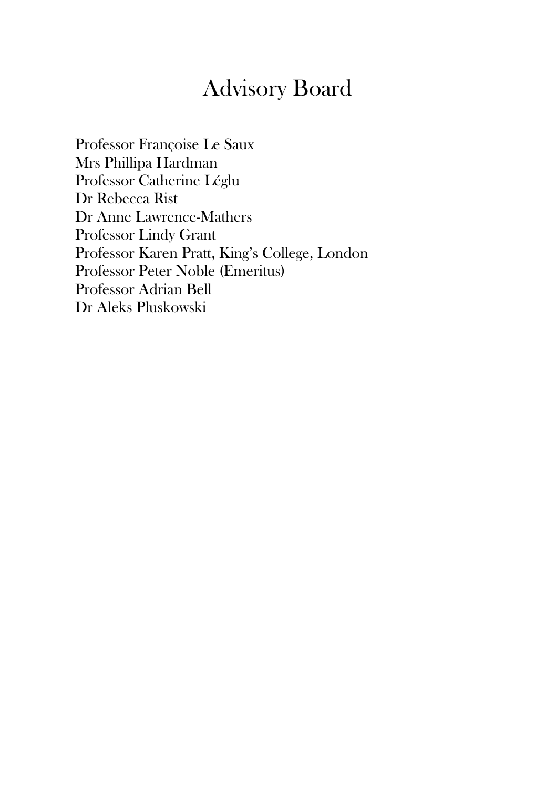## Advisory Board

Professor Françoise Le Saux Mrs Phillipa Hardman Professor Catherine Léglu Dr Rebecca Rist Dr Anne Lawrence-Mathers Professor Lindy Grant Professor Karen Pratt, King's College, London Professor Peter Noble (Emeritus) Professor Adrian Bell Dr Aleks Pluskowski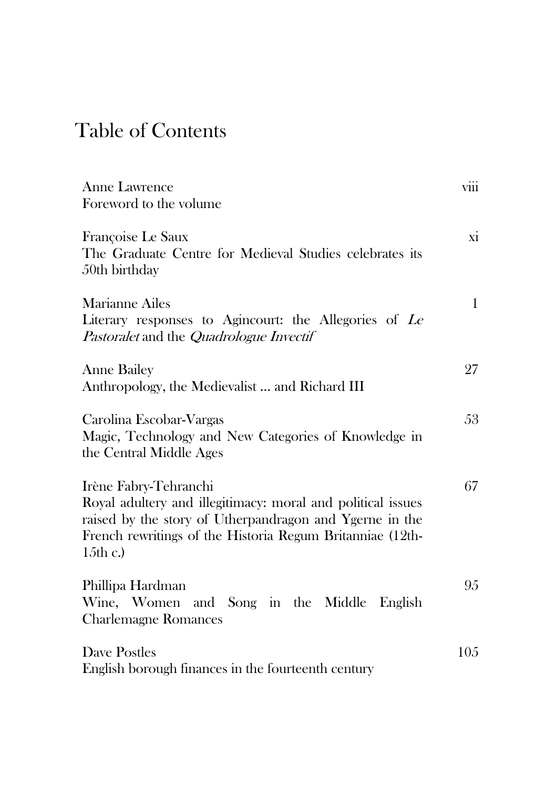## Table of Contents

| <b>Anne Lawrence</b><br>Foreword to the volume                                                                                                                                                                              | viii         |
|-----------------------------------------------------------------------------------------------------------------------------------------------------------------------------------------------------------------------------|--------------|
| Françoise Le Saux<br>The Graduate Centre for Medieval Studies celebrates its<br>50th birthday                                                                                                                               | xi           |
| Marianne Ailes<br>Literary responses to Agincourt: the Allegories of Le<br>Pastoralet and the Quadrologue Invectif                                                                                                          | $\mathbf{1}$ |
| <b>Anne Bailey</b><br>Anthropology, the Medievalist  and Richard III                                                                                                                                                        | 27           |
| Carolina Escobar-Vargas<br>Magic, Technology and New Categories of Knowledge in<br>the Central Middle Ages                                                                                                                  | 53           |
| Irène Fabry-Tehranchi<br>Royal adultery and illegitimacy: moral and political issues<br>raised by the story of Utherpandragon and Ygerne in the<br>French rewritings of the Historia Regum Britanniae (12th-<br>15th $c$ .) | 67           |
| Phillipa Hardman<br>Wine, Women and Song in the Middle<br>English<br><b>Charlemagne Romances</b>                                                                                                                            | 95           |
| Dave Postles<br>English borough finances in the fourteenth century                                                                                                                                                          | 105          |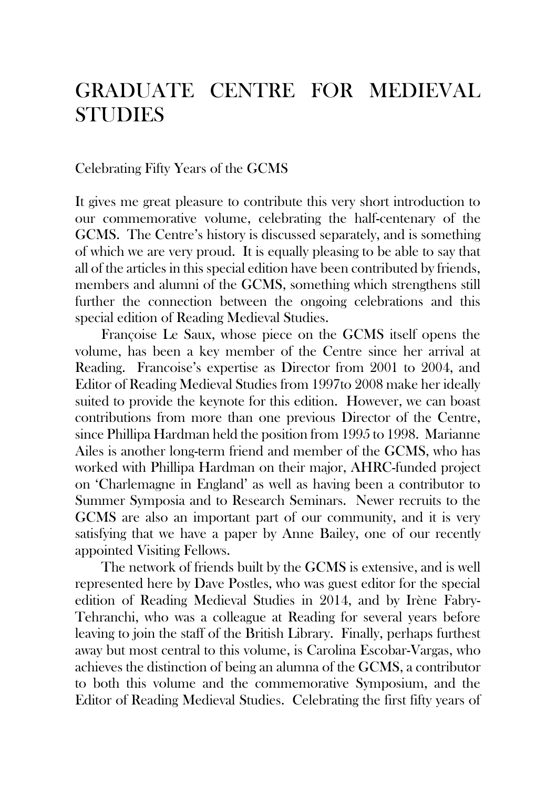## GRADUATE CENTRE FOR MEDIEVAL **STUDIES**

#### Celebrating Fifty Years of the GCMS

It gives me great pleasure to contribute this very short introduction to our commemorative volume, celebrating the half-centenary of the GCMS. The Centre's history is discussed separately, and is something of which we are very proud. It is equally pleasing to be able to say that all of the articles in this special edition have been contributed by friends, members and alumni of the GCMS, something which strengthens still further the connection between the ongoing celebrations and this special edition of Reading Medieval Studies.

Françoise Le Saux, whose piece on the GCMS itself opens the volume, has been a key member of the Centre since her arrival at Reading. Francoise's expertise as Director from 2001 to 2004, and Editor of Reading Medieval Studies from 1997to 2008 make her ideally suited to provide the keynote for this edition. However, we can boast contributions from more than one previous Director of the Centre, since Phillipa Hardman held the position from 1995 to 1998. Marianne Ailes is another long-term friend and member of the GCMS, who has worked with Phillipa Hardman on their major, AHRC-funded project on 'Charlemagne in England' as well as having been a contributor to Summer Symposia and to Research Seminars. Newer recruits to the GCMS are also an important part of our community, and it is very satisfying that we have a paper by Anne Bailey, one of our recently appointed Visiting Fellows.

The network of friends built by the GCMS is extensive, and is well represented here by Dave Postles, who was guest editor for the special edition of Reading Medieval Studies in 2014, and by Irène Fabry-Tehranchi, who was a colleague at Reading for several years before leaving to join the staff of the British Library. Finally, perhaps furthest away but most central to this volume, is Carolina Escobar-Vargas, who achieves the distinction of being an alumna of the GCMS, a contributor to both this volume and the commemorative Symposium, and the Editor of Reading Medieval Studies. Celebrating the first fifty years of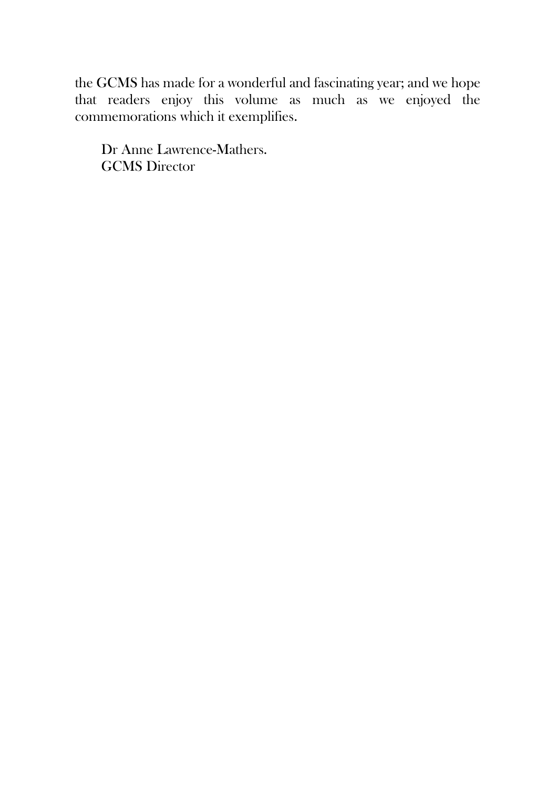the GCMS has made for a wonderful and fascinating year; and we hope that readers enjoy this volume as much as we enjoyed the commemorations which it exemplifies.

Dr Anne Lawrence-Mathers. GCMS Director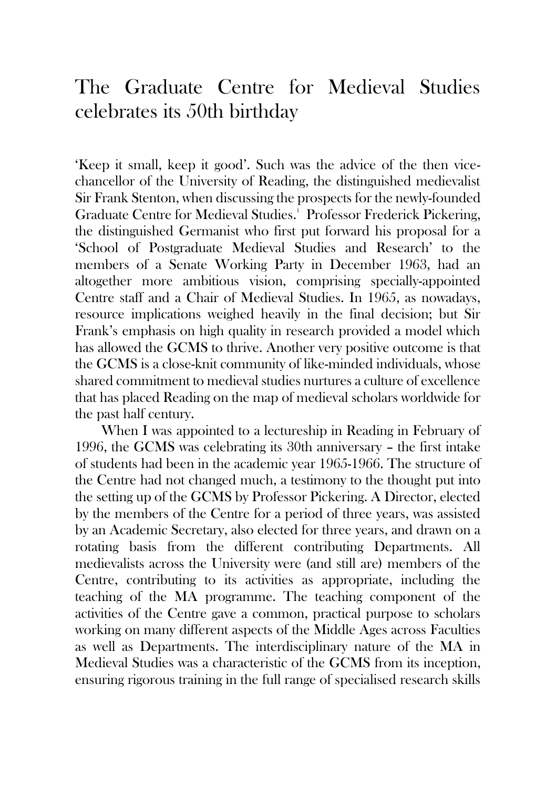## The Graduate Centre for Medieval Studies celebrates its 50th birthday

'Keep it small, keep it good'. Such was the advice of the then vicechancellor of the University of Reading, the distinguished medievalist Sir Frank Stenton, when discussing the prospects for the newly-founded Graduate Centre for Medieval Studies.<sup>1</sup> Professor Frederick Pickering, the distinguished Germanist who first put forward his proposal for a 'School of Postgraduate Medieval Studies and Research' to the members of a Senate Working Party in December 1963, had an altogether more ambitious vision, comprising specially-appointed Centre staff and a Chair of Medieval Studies. In 1965, as nowadays, resource implications weighed heavily in the final decision; but Sir Frank's emphasis on high quality in research provided a model which has allowed the GCMS to thrive. Another very positive outcome is that the GCMS is a close-knit community of like-minded individuals, whose shared commitment to medieval studies nurtures a culture of excellence that has placed Reading on the map of medieval scholars worldwide for the past half century.

When I was appointed to a lectureship in Reading in February of 1996, the GCMS was celebrating its 30th anniversary – the first intake of students had been in the academic year 1965-1966. The structure of the Centre had not changed much, a testimony to the thought put into the setting up of the GCMS by Professor Pickering. A Director, elected by the members of the Centre for a period of three years, was assisted by an Academic Secretary, also elected for three years, and drawn on a rotating basis from the different contributing Departments. All medievalists across the University were (and still are) members of the Centre, contributing to its activities as appropriate, including the teaching of the MA programme. The teaching component of the activities of the Centre gave a common, practical purpose to scholars working on many different aspects of the Middle Ages across Faculties as well as Departments. The interdisciplinary nature of the MA in Medieval Studies was a characteristic of the GCMS from its inception, ensuring rigorous training in the full range of specialised research skills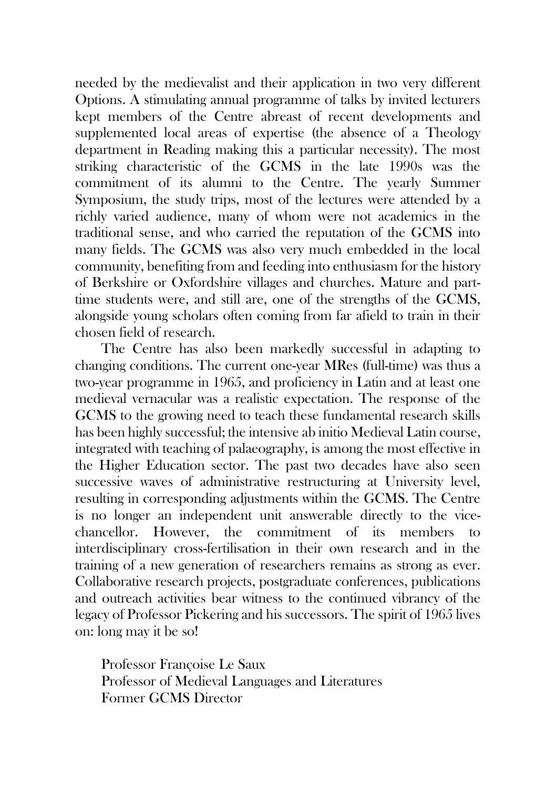needed by the medievalist and their application in two very different Options. A stimulating annual programme of talks by invited lecturers kept members of the Centre abreast of recent developments and supplemented local areas of expertise (the absence of a Theology department in Reading making this a particular necessity). The most striking characteristic of the GCMS in the late 1990s was the commitment of its alumni to the Centre. The yearly Summer Symposium, the study trips, most of the lectures were attended by a richly varied audience, many of whom were not academics in the traditional sense, and who carried the reputation of the GCMS into many fields. The GCMS was also very much embedded in the local community, benefiting from and feeding into enthusiasm for the history of Berkshire or Oxfordshire villages and churches. Mature and parttime students were, and still are, one of the strengths of the GCMS, alongside young scholars often coming from far afield to train in their chosen field of research.

The Centre has also been markedly successful in adapting to changing conditions. The current one-year MRes (full-time) was thus a two-year programme in 1965, and proficiency in Latin and at least one medieval vernacular was a realistic expectation. The response of the GCMS to the growing need to teach these fundamental research skills has been highly successful; the intensive ab initio Medieval Latin course, integrated with teaching of palaeography, is among the most effective in the Higher Education sector. The past two decades have also seen successive waves of administrative restructuring at University level, resulting in corresponding adjustments within the GCMS. The Centre is no longer an independent unit answerable directly to the vicechancellor. However, the commitment of its members to interdisciplinary cross-fertilisation in their own research and in the training of a new generation of researchers remains as strong as ever. Collaborative research projects, postgraduate conferences, publications and outreach activities bear witness to the continued vibrancy of the legacy of Professor Pickering and his successors. The spirit of 1965 lives on: long may it be so!

Professor Françoise Le Saux Professor of Medieval Languages and Literatures Former GCMS Director